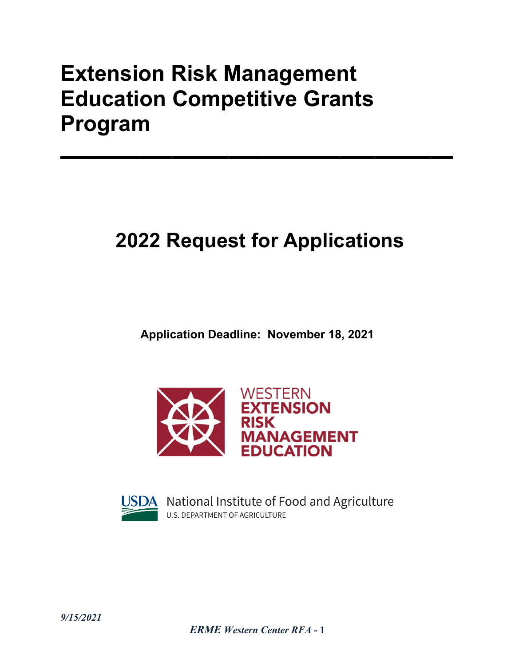# **Extension Risk Management Education Competitive Grants Program**

# **2022 Request for Applications**

 $\mathcal{L}_\mathcal{L} = \{ \mathcal{L}_\mathcal{L} \mid \mathcal{L}_\mathcal{L} \in \mathcal{L}_\mathcal{L} \}$ 

**Application Deadline: November 18, 2021** 



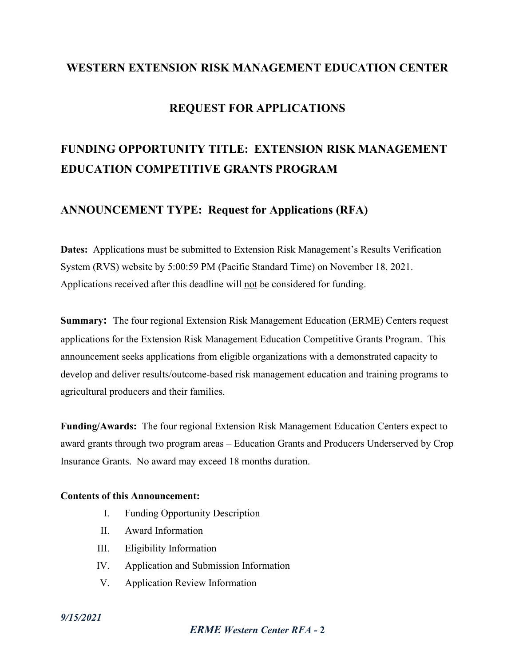# **WESTERN EXTENSION RISK MANAGEMENT EDUCATION CENTER**

# **REQUEST FOR APPLICATIONS**

# **FUNDING OPPORTUNITY TITLE: EXTENSION RISK MANAGEMENT EDUCATION COMPETITIVE GRANTS PROGRAM**

# **ANNOUNCEMENT TYPE: Request for Applications (RFA)**

**Dates:** Applications must be submitted to Extension Risk Management's Results Verification System (RVS) website by 5:00:59 PM (Pacific Standard Time) on November 18, 2021. Applications received after this deadline will not be considered for funding.

**Summary:** The four regional Extension Risk Management Education (ERME) Centers request applications for the Extension Risk Management Education Competitive Grants Program. This announcement seeks applications from eligible organizations with a demonstrated capacity to develop and deliver results/outcome-based risk management education and training programs to agricultural producers and their families.

**Funding/Awards:** The four regional Extension Risk Management Education Centers expect to award grants through two program areas – Education Grants and Producers Underserved by Crop Insurance Grants. No award may exceed 18 months duration.

#### **Contents of this Announcement:**

- I. Funding Opportunity Description
- II. Award Information
- III. Eligibility Information
- IV. Application and Submission Information
- V. Application Review Information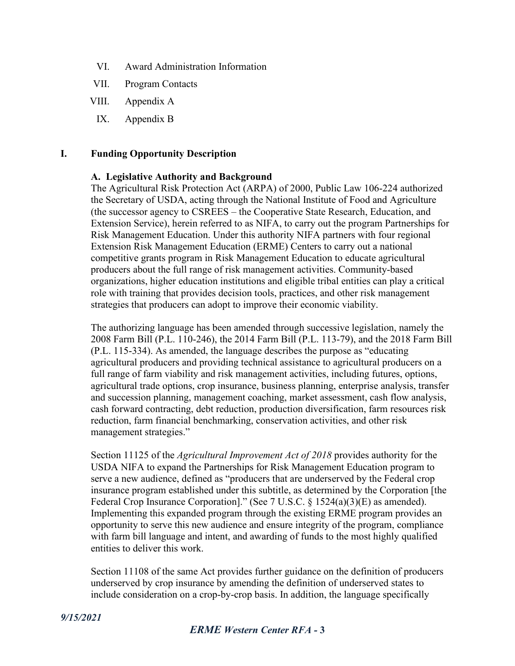- VI. Award Administration Information
- VII. Program Contacts
- VIII. Appendix A
- IX. Appendix B

#### **I. Funding Opportunity Description**

#### **A. Legislative Authority and Background**

The Agricultural Risk Protection Act (ARPA) of 2000, Public Law 106-224 authorized the Secretary of USDA, acting through the National Institute of Food and Agriculture (the successor agency to CSREES – the Cooperative State Research, Education, and Extension Service), herein referred to as NIFA, to carry out the program Partnerships for Risk Management Education. Under this authority NIFA partners with four regional Extension Risk Management Education (ERME) Centers to carry out a national competitive grants program in Risk Management Education to educate agricultural producers about the full range of risk management activities. Community-based organizations, higher education institutions and eligible tribal entities can play a critical role with training that provides decision tools, practices, and other risk management strategies that producers can adopt to improve their economic viability.

The authorizing language has been amended through successive legislation, namely the 2008 Farm Bill (P.L. 110-246), the 2014 Farm Bill (P.L. 113-79), and the 2018 Farm Bill (P.L. 115-334). As amended, the language describes the purpose as "educating agricultural producers and providing technical assistance to agricultural producers on a full range of farm viability and risk management activities, including futures, options, agricultural trade options, crop insurance, business planning, enterprise analysis, transfer and succession planning, management coaching, market assessment, cash flow analysis, cash forward contracting, debt reduction, production diversification, farm resources risk reduction, farm financial benchmarking, conservation activities, and other risk management strategies."

Section 11125 of the *Agricultural Improvement Act of 2018* provides authority for the USDA NIFA to expand the Partnerships for Risk Management Education program to serve a new audience, defined as "producers that are underserved by the Federal crop insurance program established under this subtitle, as determined by the Corporation [the Federal Crop Insurance Corporation]." (See 7 U.S.C. § 1524(a)(3)(E) as amended). Implementing this expanded program through the existing ERME program provides an opportunity to serve this new audience and ensure integrity of the program, compliance with farm bill language and intent, and awarding of funds to the most highly qualified entities to deliver this work.

Section 11108 of the same Act provides further guidance on the definition of producers underserved by crop insurance by amending the definition of underserved states to include consideration on a crop-by-crop basis. In addition, the language specifically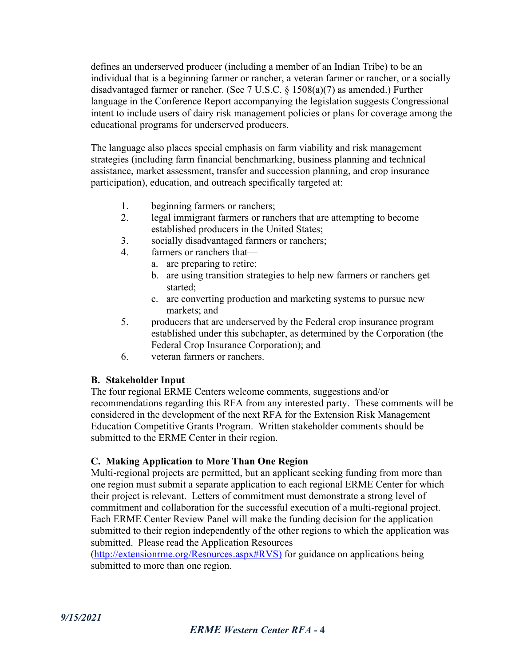defines an underserved producer (including a member of an Indian Tribe) to be an individual that is a beginning farmer or rancher, a veteran farmer or rancher, or a socially disadvantaged farmer or rancher. (See 7 U.S.C. § 1508(a)(7) as amended.) Further language in the Conference Report accompanying the legislation suggests Congressional intent to include users of dairy risk management policies or plans for coverage among the educational programs for underserved producers.

The language also places special emphasis on farm viability and risk management strategies (including farm financial benchmarking, business planning and technical assistance, market assessment, transfer and succession planning, and crop insurance participation), education, and outreach specifically targeted at:

- 1. beginning farmers or ranchers;
- 2. legal immigrant farmers or ranchers that are attempting to become established producers in the United States;
- 3. socially disadvantaged farmers or ranchers;
- 4. farmers or ranchers that
	- a. are preparing to retire;
	- b. are using transition strategies to help new farmers or ranchers get started;
	- c. are converting production and marketing systems to pursue new markets; and
- 5. producers that are underserved by the Federal crop insurance program established under this subchapter, as determined by the Corporation (the Federal Crop Insurance Corporation); and
- 6. veteran farmers or ranchers.

#### **B. Stakeholder Input**

The four regional ERME Centers welcome comments, suggestions and/or recommendations regarding this RFA from any interested party. These comments will be considered in the development of the next RFA for the Extension Risk Management Education Competitive Grants Program. Written stakeholder comments should be submitted to the ERME Center in their region.

#### **C. Making Application to More Than One Region**

Multi-regional projects are permitted, but an applicant seeking funding from more than one region must submit a separate application to each regional ERME Center for which their project is relevant. Letters of commitment must demonstrate a strong level of commitment and collaboration for the successful execution of a multi-regional project. Each ERME Center Review Panel will make the funding decision for the application submitted to their region independently of the other regions to which the application was submitted. Please read the Application Resources

[\(http://extensionrme.org/Resources.aspx#RVS\)](http://extensionrme.org/Resources.aspx#RVS) for guidance on applications being submitted to more than one region.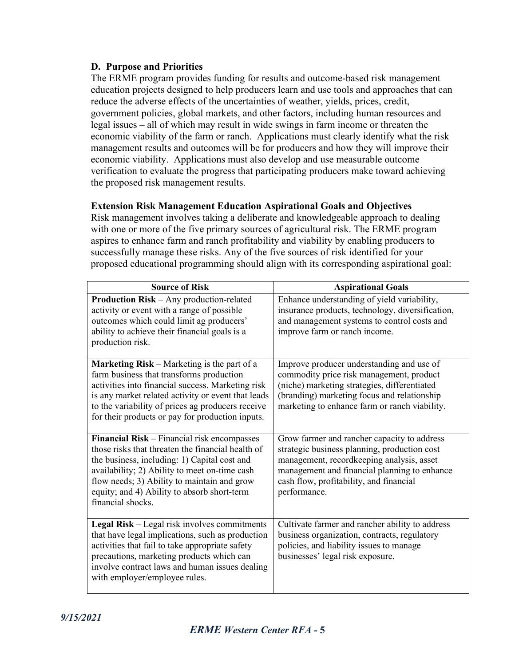#### **D. Purpose and Priorities**

The ERME program provides funding for results and outcome-based risk management education projects designed to help producers learn and use tools and approaches that can reduce the adverse effects of the uncertainties of weather, yields, prices, credit, government policies, global markets, and other factors, including human resources and legal issues – all of which may result in wide swings in farm income or threaten the economic viability of the farm or ranch. Applications must clearly identify what the risk management results and outcomes will be for producers and how they will improve their economic viability. Applications must also develop and use measurable outcome verification to evaluate the progress that participating producers make toward achieving the proposed risk management results.

#### **Extension Risk Management Education Aspirational Goals and Objectives**

Risk management involves taking a deliberate and knowledgeable approach to dealing with one or more of the five primary sources of agricultural risk. The ERME program aspires to enhance farm and ranch profitability and viability by enabling producers to successfully manage these risks. Any of the five sources of risk identified for your proposed educational programming should align with its corresponding aspirational goal:

| <b>Source of Risk</b>                                                                                                                                                                                                                                                                                                | <b>Aspirational Goals</b>                                                                                                                                                                                                                           |
|----------------------------------------------------------------------------------------------------------------------------------------------------------------------------------------------------------------------------------------------------------------------------------------------------------------------|-----------------------------------------------------------------------------------------------------------------------------------------------------------------------------------------------------------------------------------------------------|
| Production Risk - Any production-related<br>activity or event with a range of possible<br>outcomes which could limit ag producers'<br>ability to achieve their financial goals is a<br>production risk.                                                                                                              | Enhance understanding of yield variability,<br>insurance products, technology, diversification,<br>and management systems to control costs and<br>improve farm or ranch income.                                                                     |
| Marketing Risk - Marketing is the part of a<br>farm business that transforms production<br>activities into financial success. Marketing risk<br>is any market related activity or event that leads<br>to the variability of prices ag producers receive<br>for their products or pay for production inputs.          | Improve producer understanding and use of<br>commodity price risk management, product<br>(niche) marketing strategies, differentiated<br>(branding) marketing focus and relationship<br>marketing to enhance farm or ranch viability.               |
| Financial Risk - Financial risk encompasses<br>those risks that threaten the financial health of<br>the business, including: 1) Capital cost and<br>availability; 2) Ability to meet on-time cash<br>flow needs; 3) Ability to maintain and grow<br>equity; and 4) Ability to absorb short-term<br>financial shocks. | Grow farmer and rancher capacity to address<br>strategic business planning, production cost<br>management, recordkeeping analysis, asset<br>management and financial planning to enhance<br>cash flow, profitability, and financial<br>performance. |
| Legal Risk - Legal risk involves commitments<br>that have legal implications, such as production<br>activities that fail to take appropriate safety<br>precautions, marketing products which can<br>involve contract laws and human issues dealing<br>with employer/employee rules.                                  | Cultivate farmer and rancher ability to address<br>business organization, contracts, regulatory<br>policies, and liability issues to manage<br>businesses' legal risk exposure.                                                                     |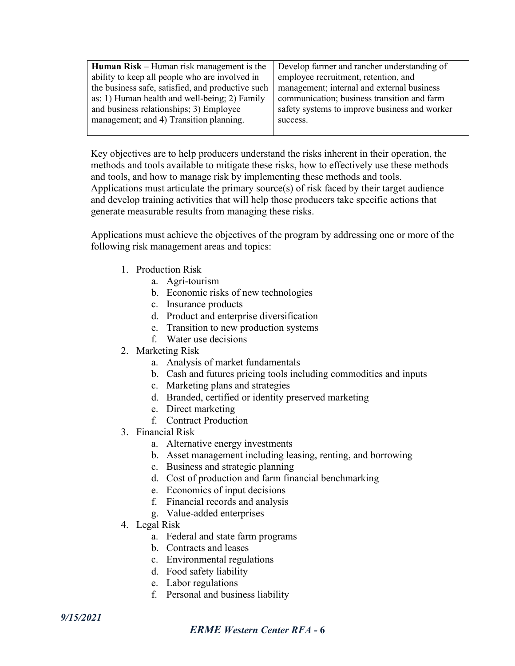| <b>Human Risk</b> – Human risk management is the  | Develop farmer and rancher understanding of   |
|---------------------------------------------------|-----------------------------------------------|
| ability to keep all people who are involved in    | employee recruitment, retention, and          |
| the business safe, satisfied, and productive such | management; internal and external business    |
| as: 1) Human health and well-being; 2) Family     | communication; business transition and farm   |
| and business relationships; 3) Employee           | safety systems to improve business and worker |
| management; and 4) Transition planning.           | success.                                      |
|                                                   |                                               |

Key objectives are to help producers understand the risks inherent in their operation, the methods and tools available to mitigate these risks, how to effectively use these methods and tools, and how to manage risk by implementing these methods and tools. Applications must articulate the primary source(s) of risk faced by their target audience and develop training activities that will help those producers take specific actions that generate measurable results from managing these risks.

Applications must achieve the objectives of the program by addressing one or more of the following risk management areas and topics:

- 1. Production Risk
	- a. Agri-tourism
	- b. Economic risks of new technologies
	- c. Insurance products
	- d. Product and enterprise diversification
	- e. Transition to new production systems
	- f. Water use decisions
- 2. Marketing Risk
	- a. Analysis of market fundamentals
	- b. Cash and futures pricing tools including commodities and inputs
	- c. Marketing plans and strategies
	- d. Branded, certified or identity preserved marketing
	- e. Direct marketing
	- f. Contract Production
- 3. Financial Risk
	- a. Alternative energy investments
	- b. Asset management including leasing, renting, and borrowing
	- c. Business and strategic planning
	- d. Cost of production and farm financial benchmarking
	- e. Economics of input decisions
	- f. Financial records and analysis
	- g. Value-added enterprises
- 4. Legal Risk
	- a. Federal and state farm programs
	- b. Contracts and leases
	- c. Environmental regulations
	- d. Food safety liability
	- e. Labor regulations
	- f. Personal and business liability

# *ERME Western Center RFA -* **6**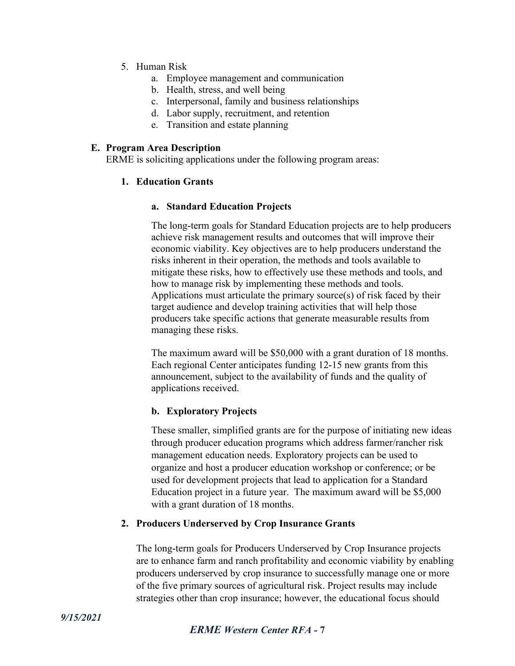- 5. Human Risk
	- a. Employee management and communication
	- b. Health, stress, and well being
	- c. Interpersonal, family and business relationships
	- d. Labor supply, recruitment, and retention
	- e. Transition and estate planning

#### **E. Program Area Description**

ERME is soliciting applications under the following program areas:

#### **1. Education Grants**

#### **a. Standard Education Projects**

The long-term goals for Standard Education projects are to help producers achieve risk management results and outcomes that will improve their economic viability. Key objectives are to help producers understand the risks inherent in their operation, the methods and tools available to mitigate these risks, how to effectively use these methods and tools, and how to manage risk by implementing these methods and tools. Applications must articulate the primary source(s) of risk faced by their target audience and develop training activities that will help those producers take specific actions that generate measurable results from managing these risks.

The maximum award will be \$50,000 with a grant duration of 18 months. Each regional Center anticipates funding 12-15 new grants from this announcement, subject to the availability of funds and the quality of applications received.

#### **b. Exploratory Projects**

These smaller, simplified grants are for the purpose of initiating new ideas through producer education programs which address farmer/rancher risk management education needs. Exploratory projects can be used to organize and host a producer education workshop or conference; or be used for development projects that lead to application for a Standard Education project in a future year. The maximum award will be \$5,000 with a grant duration of 18 months.

#### **2. Producers Underserved by Crop Insurance Grants**

The long-term goals for Producers Underserved by Crop Insurance projects are to enhance farm and ranch profitability and economic viability by enabling producers underserved by crop insurance to successfully manage one or more of the five primary sources of agricultural risk. Project results may include strategies other than crop insurance; however, the educational focus should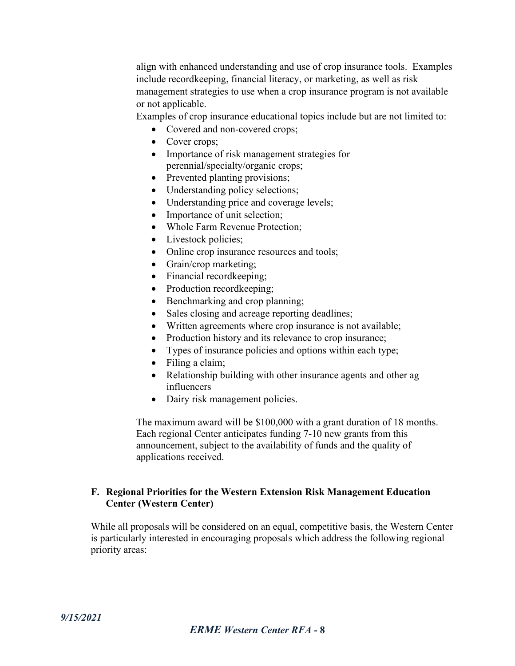align with enhanced understanding and use of crop insurance tools. Examples include recordkeeping, financial literacy, or marketing, as well as risk management strategies to use when a crop insurance program is not available or not applicable.

Examples of crop insurance educational topics include but are not limited to:

- Covered and non-covered crops;
- Cover crops;
- Importance of risk management strategies for perennial/specialty/organic crops;
- Prevented planting provisions;
- Understanding policy selections;
- Understanding price and coverage levels;
- Importance of unit selection;
- Whole Farm Revenue Protection;
- Livestock policies;
- Online crop insurance resources and tools;
- Grain/crop marketing;
- Financial record keeping;
- Production record keeping;
- Benchmarking and crop planning;
- Sales closing and acreage reporting deadlines;
- Written agreements where crop insurance is not available;
- Production history and its relevance to crop insurance;
- Types of insurance policies and options within each type;
- Filing a claim;
- Relationship building with other insurance agents and other ag influencers
- Dairy risk management policies.

The maximum award will be \$100,000 with a grant duration of 18 months. Each regional Center anticipates funding 7-10 new grants from this announcement, subject to the availability of funds and the quality of applications received.

#### **F. Regional Priorities for the Western Extension Risk Management Education Center (Western Center)**

While all proposals will be considered on an equal, competitive basis, the Western Center is particularly interested in encouraging proposals which address the following regional priority areas: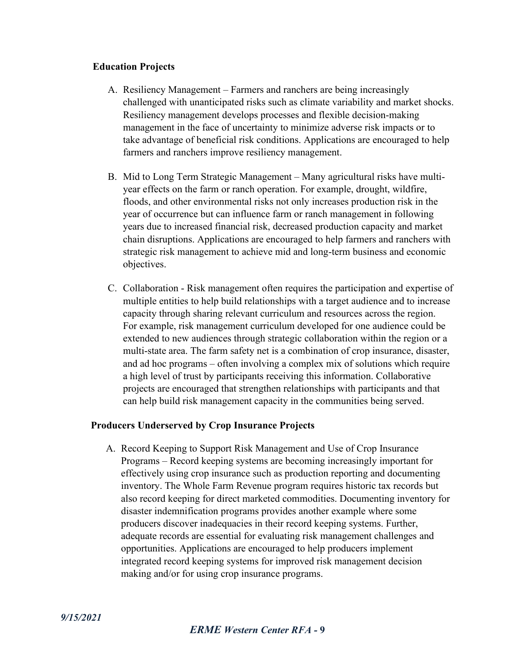#### **Education Projects**

- A. Resiliency Management Farmers and ranchers are being increasingly challenged with unanticipated risks such as climate variability and market shocks. Resiliency management develops processes and flexible decision-making management in the face of uncertainty to minimize adverse risk impacts or to take advantage of beneficial risk conditions. Applications are encouraged to help farmers and ranchers improve resiliency management.
- B. Mid to Long Term Strategic Management Many agricultural risks have multiyear effects on the farm or ranch operation. For example, drought, wildfire, floods, and other environmental risks not only increases production risk in the year of occurrence but can influence farm or ranch management in following years due to increased financial risk, decreased production capacity and market chain disruptions. Applications are encouraged to help farmers and ranchers with strategic risk management to achieve mid and long-term business and economic objectives.
- C. Collaboration Risk management often requires the participation and expertise of multiple entities to help build relationships with a target audience and to increase capacity through sharing relevant curriculum and resources across the region. For example, risk management curriculum developed for one audience could be extended to new audiences through strategic collaboration within the region or a multi-state area. The farm safety net is a combination of crop insurance, disaster, and ad hoc programs – often involving a complex mix of solutions which require a high level of trust by participants receiving this information. Collaborative projects are encouraged that strengthen relationships with participants and that can help build risk management capacity in the communities being served.

#### **Producers Underserved by Crop Insurance Projects**

A. Record Keeping to Support Risk Management and Use of Crop Insurance Programs – Record keeping systems are becoming increasingly important for effectively using crop insurance such as production reporting and documenting inventory. The Whole Farm Revenue program requires historic tax records but also record keeping for direct marketed commodities. Documenting inventory for disaster indemnification programs provides another example where some producers discover inadequacies in their record keeping systems. Further, adequate records are essential for evaluating risk management challenges and opportunities. Applications are encouraged to help producers implement integrated record keeping systems for improved risk management decision making and/or for using crop insurance programs.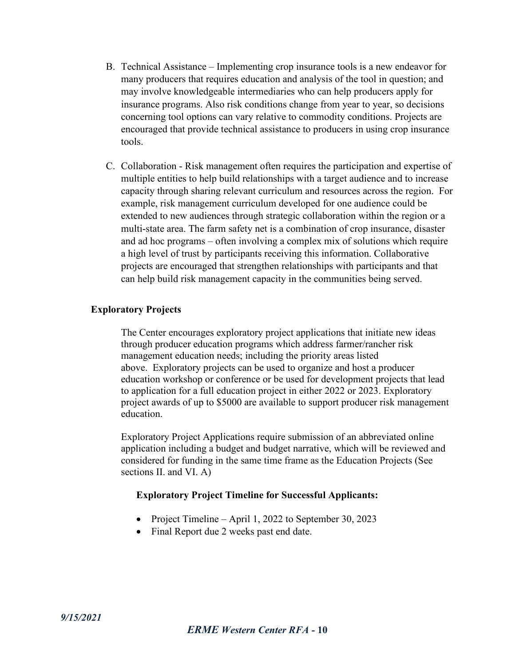- B. Technical Assistance Implementing crop insurance tools is a new endeavor for many producers that requires education and analysis of the tool in question; and may involve knowledgeable intermediaries who can help producers apply for insurance programs. Also risk conditions change from year to year, so decisions concerning tool options can vary relative to commodity conditions. Projects are encouraged that provide technical assistance to producers in using crop insurance tools.
- C. Collaboration Risk management often requires the participation and expertise of multiple entities to help build relationships with a target audience and to increase capacity through sharing relevant curriculum and resources across the region. For example, risk management curriculum developed for one audience could be extended to new audiences through strategic collaboration within the region or a multi-state area. The farm safety net is a combination of crop insurance, disaster and ad hoc programs – often involving a complex mix of solutions which require a high level of trust by participants receiving this information. Collaborative projects are encouraged that strengthen relationships with participants and that can help build risk management capacity in the communities being served.

#### **Exploratory Projects**

The Center encourages exploratory project applications that initiate new ideas through producer education programs which address farmer/rancher risk management education needs; including the priority areas listed above. Exploratory projects can be used to organize and host a producer education workshop or conference or be used for development projects that lead to application for a full education project in either 2022 or 2023. Exploratory project awards of up to \$5000 are available to support producer risk management education.

Exploratory Project Applications require submission of an abbreviated online application including a budget and budget narrative, which will be reviewed and considered for funding in the same time frame as the Education Projects (See sections II. and VI. A)

#### **Exploratory Project Timeline for Successful Applicants:**

- Project Timeline April 1, 2022 to September 30, 2023
- Final Report due 2 weeks past end date.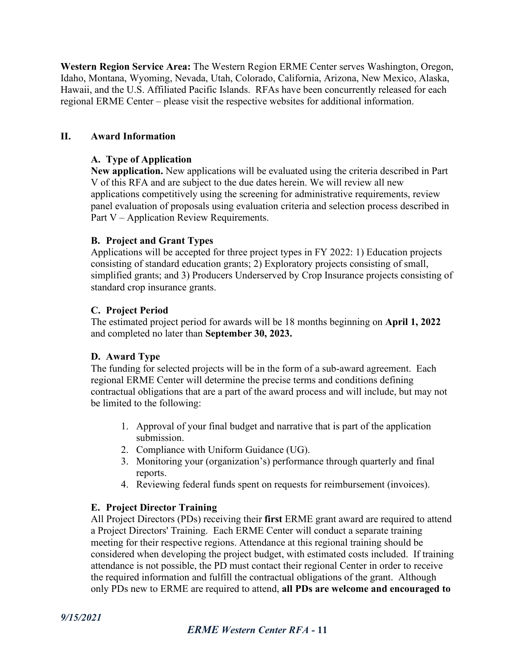**Western Region Service Area:** The Western Region ERME Center serves Washington, Oregon, Idaho, Montana, Wyoming, Nevada, Utah, Colorado, California, Arizona, New Mexico, Alaska, Hawaii, and the U.S. Affiliated Pacific Islands. RFAs have been concurrently released for each regional ERME Center – please visit the respective websites for additional information.

#### **II. Award Information**

#### **A. Type of Application**

**New application.** New applications will be evaluated using the criteria described in Part V of this RFA and are subject to the due dates herein. We will review all new applications competitively using the screening for administrative requirements, review panel evaluation of proposals using evaluation criteria and selection process described in Part V – Application Review Requirements.

#### **B. Project and Grant Types**

Applications will be accepted for three project types in FY 2022: 1) Education projects consisting of standard education grants; 2) Exploratory projects consisting of small, simplified grants; and 3) Producers Underserved by Crop Insurance projects consisting of standard crop insurance grants.

#### **C. Project Period**

The estimated project period for awards will be 18 months beginning on **April 1, 2022** and completed no later than **September 30, 2023.**

#### **D. Award Type**

The funding for selected projects will be in the form of a sub-award agreement. Each regional ERME Center will determine the precise terms and conditions defining contractual obligations that are a part of the award process and will include, but may not be limited to the following:

- 1. Approval of your final budget and narrative that is part of the application submission.
- 2. Compliance with Uniform Guidance (UG).
- 3. Monitoring your (organization's) performance through quarterly and final reports.
- 4. Reviewing federal funds spent on requests for reimbursement (invoices).

#### **E. Project Director Training**

All Project Directors (PDs) receiving their **first** ERME grant award are required to attend a Project Directors' Training. Each ERME Center will conduct a separate training meeting for their respective regions. Attendance at this regional training should be considered when developing the project budget, with estimated costs included. If training attendance is not possible, the PD must contact their regional Center in order to receive the required information and fulfill the contractual obligations of the grant. Although only PDs new to ERME are required to attend, **all PDs are welcome and encouraged to**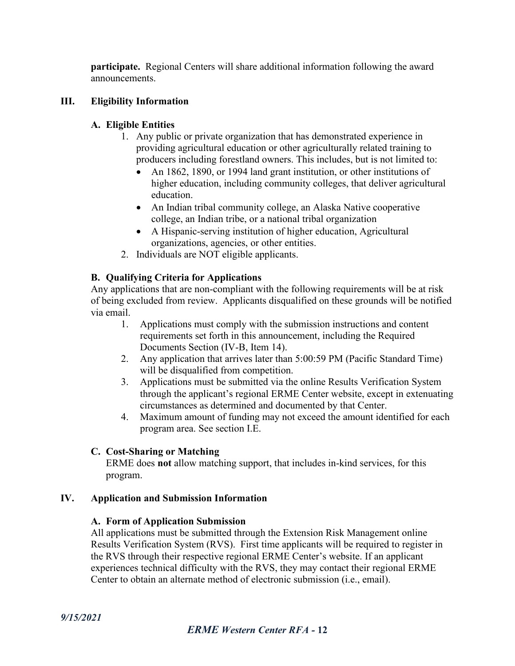**participate.** Regional Centers will share additional information following the award announcements.

#### **III. Eligibility Information**

#### **A. Eligible Entities**

- 1. Any public or private organization that has demonstrated experience in providing agricultural education or other agriculturally related training to producers including forestland owners. This includes, but is not limited to:
	- An 1862, 1890, or 1994 land grant institution, or other institutions of higher education, including community colleges, that deliver agricultural education.
	- An Indian tribal community college, an Alaska Native cooperative college, an Indian tribe, or a national tribal organization
	- A Hispanic-serving institution of higher education, Agricultural organizations, agencies, or other entities.
- 2. Individuals are NOT eligible applicants.

#### **B. Qualifying Criteria for Applications**

Any applications that are non-compliant with the following requirements will be at risk of being excluded from review. Applicants disqualified on these grounds will be notified via email.

- 1. Applications must comply with the submission instructions and content requirements set forth in this announcement, including the Required Documents Section (IV-B, Item 14).
- 2. Any application that arrives later than 5:00:59 PM (Pacific Standard Time) will be disqualified from competition.
- 3. Applications must be submitted via the online Results Verification System through the applicant's regional ERME Center website, except in extenuating circumstances as determined and documented by that Center.
- 4. Maximum amount of funding may not exceed the amount identified for each program area. See section I.E.

#### **C. Cost-Sharing or Matching**

ERME does **not** allow matching support, that includes in-kind services, for this program.

#### **IV. Application and Submission Information**

#### **A. Form of Application Submission**

All applications must be submitted through the Extension Risk Management online Results Verification System (RVS). First time applicants will be required to register in the RVS through their respective regional ERME Center's website. If an applicant experiences technical difficulty with the RVS, they may contact their regional ERME Center to obtain an alternate method of electronic submission (i.e., email).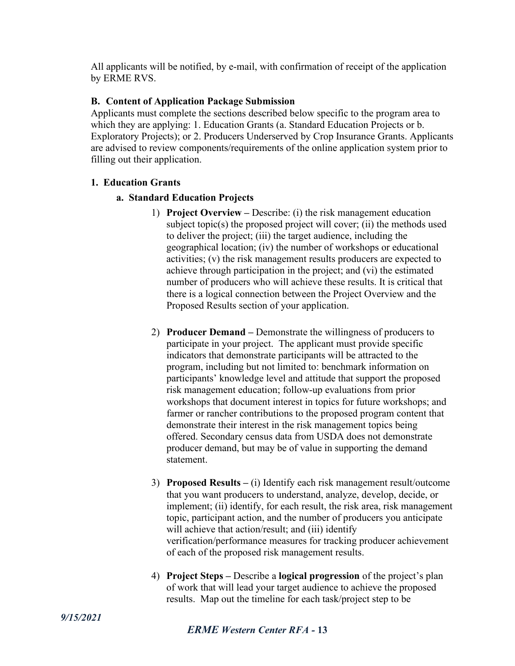All applicants will be notified, by e-mail, with confirmation of receipt of the application by ERME RVS.

#### **B. Content of Application Package Submission**

Applicants must complete the sections described below specific to the program area to which they are applying: 1. Education Grants (a. Standard Education Projects or b. Exploratory Projects); or 2. Producers Underserved by Crop Insurance Grants. Applicants are advised to review components/requirements of the online application system prior to filling out their application.

#### **1. Education Grants**

#### **a. Standard Education Projects**

- 1) **Project Overview –** Describe: (i) the risk management education subject topic(s) the proposed project will cover; (ii) the methods used to deliver the project; (iii) the target audience, including the geographical location; (iv) the number of workshops or educational activities; (v) the risk management results producers are expected to achieve through participation in the project; and (vi) the estimated number of producers who will achieve these results. It is critical that there is a logical connection between the Project Overview and the Proposed Results section of your application.
- 2) **Producer Demand –** Demonstrate the willingness of producers to participate in your project. The applicant must provide specific indicators that demonstrate participants will be attracted to the program, including but not limited to: benchmark information on participants' knowledge level and attitude that support the proposed risk management education; follow-up evaluations from prior workshops that document interest in topics for future workshops; and farmer or rancher contributions to the proposed program content that demonstrate their interest in the risk management topics being offered. Secondary census data from USDA does not demonstrate producer demand, but may be of value in supporting the demand statement.
- 3) **Proposed Results –** (i) Identify each risk management result/outcome that you want producers to understand, analyze, develop, decide, or implement; (ii) identify, for each result, the risk area, risk management topic, participant action, and the number of producers you anticipate will achieve that action/result; and (iii) identify verification/performance measures for tracking producer achievement of each of the proposed risk management results.
- 4) **Project Steps –** Describe a **logical progression** of the project's plan of work that will lead your target audience to achieve the proposed results. Map out the timeline for each task/project step to be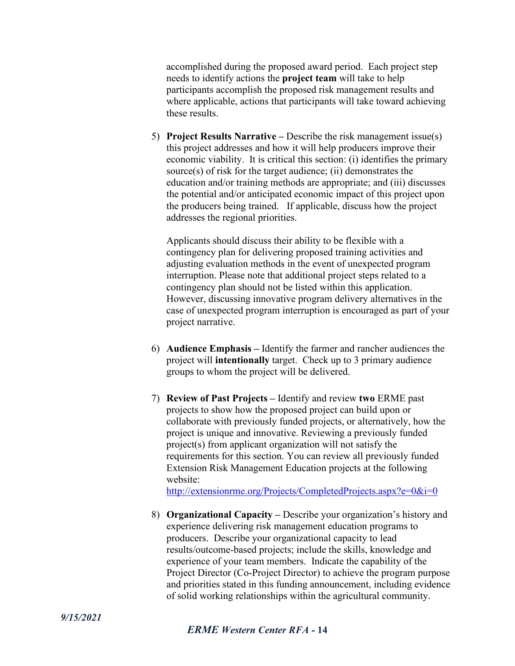accomplished during the proposed award period. Each project step needs to identify actions the **project team** will take to help participants accomplish the proposed risk management results and where applicable, actions that participants will take toward achieving these results.

5) **Project Results Narrative –** Describe the risk management issue(s) this project addresses and how it will help producers improve their economic viability. It is critical this section: (i) identifies the primary source(s) of risk for the target audience; (ii) demonstrates the education and/or training methods are appropriate; and (iii) discusses the potential and/or anticipated economic impact of this project upon the producers being trained. If applicable, discuss how the project addresses the regional priorities.

Applicants should discuss their ability to be flexible with a contingency plan for delivering proposed training activities and adjusting evaluation methods in the event of unexpected program interruption. Please note that additional project steps related to a contingency plan should not be listed within this application. However, discussing innovative program delivery alternatives in the case of unexpected program interruption is encouraged as part of your project narrative.

- 6) **Audience Emphasis –** Identify the farmer and rancher audiences the project will **intentionally** target. Check up to 3 primary audience groups to whom the project will be delivered.
- 7) **Review of Past Projects –** Identify and review **two** ERME past projects to show how the proposed project can build upon or collaborate with previously funded projects, or alternatively, how the project is unique and innovative. Reviewing a previously funded project(s) from applicant organization will not satisfy the requirements for this section. You can review all previously funded Extension Risk Management Education projects at the following website:

<http://extensionrme.org/Projects/CompletedProjects.aspx?e=0&i=0>

8) **Organizational Capacity –** Describe your organization's history and experience delivering risk management education programs to producers. Describe your organizational capacity to lead results/outcome-based projects; include the skills, knowledge and experience of your team members. Indicate the capability of the Project Director (Co-Project Director) to achieve the program purpose and priorities stated in this funding announcement, including evidence of solid working relationships within the agricultural community.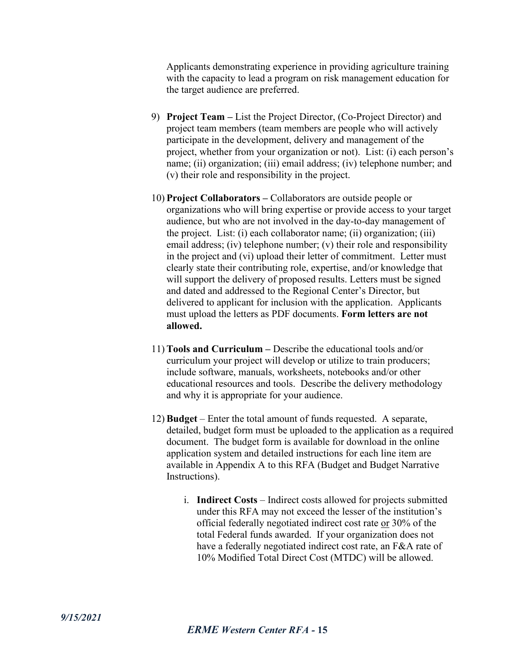Applicants demonstrating experience in providing agriculture training with the capacity to lead a program on risk management education for the target audience are preferred.

- 9) **Project Team –** List the Project Director, (Co-Project Director) and project team members (team members are people who will actively participate in the development, delivery and management of the project, whether from your organization or not). List: (i) each person's name; (ii) organization; (iii) email address; (iv) telephone number; and (v) their role and responsibility in the project.
- 10) **Project Collaborators –** Collaborators are outside people or organizations who will bring expertise or provide access to your target audience, but who are not involved in the day-to-day management of the project. List: (i) each collaborator name; (ii) organization; (iii) email address; (iv) telephone number; (v) their role and responsibility in the project and (vi) upload their letter of commitment. Letter must clearly state their contributing role, expertise, and/or knowledge that will support the delivery of proposed results. Letters must be signed and dated and addressed to the Regional Center's Director, but delivered to applicant for inclusion with the application. Applicants must upload the letters as PDF documents. **Form letters are not allowed.**
- 11) **Tools and Curriculum –** Describe the educational tools and/or curriculum your project will develop or utilize to train producers; include software, manuals, worksheets, notebooks and/or other educational resources and tools. Describe the delivery methodology and why it is appropriate for your audience.
- 12) **Budget** Enter the total amount of funds requested. A separate, detailed, budget form must be uploaded to the application as a required document. The budget form is available for download in the online application system and detailed instructions for each line item are available in Appendix A to this RFA (Budget and Budget Narrative Instructions).
	- i. **Indirect Costs** Indirect costs allowed for projects submitted under this RFA may not exceed the lesser of the institution's official federally negotiated indirect cost rate or 30% of the total Federal funds awarded. If your organization does not have a federally negotiated indirect cost rate, an F&A rate of 10% Modified Total Direct Cost (MTDC) will be allowed.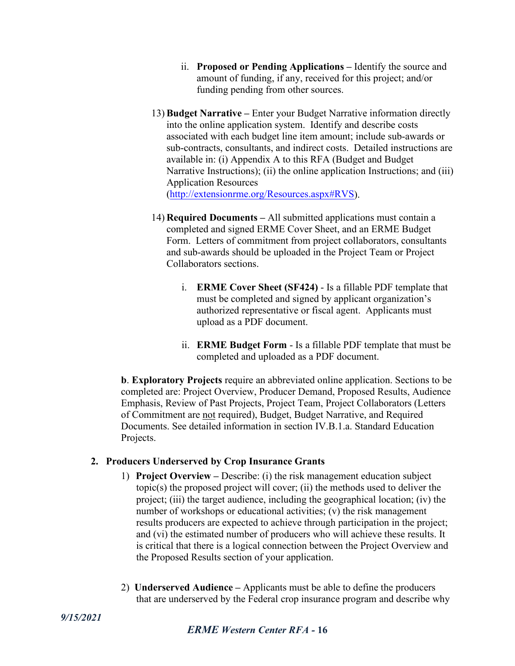- ii. **Proposed or Pending Applications –** Identify the source and amount of funding, if any, received for this project; and/or funding pending from other sources.
- 13) **Budget Narrative –** Enter your Budget Narrative information directly into the online application system. Identify and describe costs associated with each budget line item amount; include sub-awards or sub-contracts, consultants, and indirect costs. Detailed instructions are available in: (i) Appendix A to this RFA (Budget and Budget Narrative Instructions); (ii) the online application Instructions; and (iii) Application Resources [\(http://extensionrme.org/Resources.aspx#RVS\)](http://extensionrme.org/Resources.aspx#RVS).
- 14) **Required Documents –** All submitted applications must contain a completed and signed ERME Cover Sheet, and an ERME Budget Form. Letters of commitment from project collaborators, consultants and sub-awards should be uploaded in the Project Team or Project Collaborators sections.
	- i. **ERME Cover Sheet (SF424)** Is a fillable PDF template that must be completed and signed by applicant organization's authorized representative or fiscal agent. Applicants must upload as a PDF document.
	- ii. **ERME Budget Form** Is a fillable PDF template that must be completed and uploaded as a PDF document.

**b**. **Exploratory Projects** require an abbreviated online application. Sections to be completed are: Project Overview, Producer Demand, Proposed Results, Audience Emphasis, Review of Past Projects, Project Team, Project Collaborators (Letters of Commitment are not required), Budget, Budget Narrative, and Required Documents. See detailed information in section IV.B.1.a. Standard Education Projects.

#### **2. Producers Underserved by Crop Insurance Grants**

- 1) **Project Overview –** Describe: (i) the risk management education subject topic(s) the proposed project will cover; (ii) the methods used to deliver the project; (iii) the target audience, including the geographical location; (iv) the number of workshops or educational activities; (v) the risk management results producers are expected to achieve through participation in the project; and (vi) the estimated number of producers who will achieve these results. It is critical that there is a logical connection between the Project Overview and the Proposed Results section of your application.
- 2) **Underserved Audience –** Applicants must be able to define the producers that are underserved by the Federal crop insurance program and describe why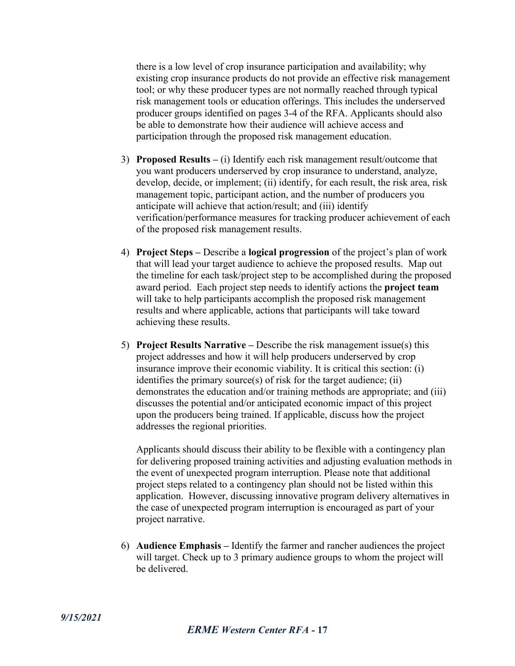there is a low level of crop insurance participation and availability; why existing crop insurance products do not provide an effective risk management tool; or why these producer types are not normally reached through typical risk management tools or education offerings. This includes the underserved producer groups identified on pages 3-4 of the RFA. Applicants should also be able to demonstrate how their audience will achieve access and participation through the proposed risk management education.

- 3) **Proposed Results –** (i) Identify each risk management result/outcome that you want producers underserved by crop insurance to understand, analyze, develop, decide, or implement; (ii) identify, for each result, the risk area, risk management topic, participant action, and the number of producers you anticipate will achieve that action/result; and (iii) identify verification/performance measures for tracking producer achievement of each of the proposed risk management results.
- 4) **Project Steps –** Describe a **logical progression** of the project's plan of work that will lead your target audience to achieve the proposed results. Map out the timeline for each task/project step to be accomplished during the proposed award period. Each project step needs to identify actions the **project team** will take to help participants accomplish the proposed risk management results and where applicable, actions that participants will take toward achieving these results.
- 5) **Project Results Narrative –** Describe the risk management issue(s) this project addresses and how it will help producers underserved by crop insurance improve their economic viability. It is critical this section: (i) identifies the primary source(s) of risk for the target audience; (ii) demonstrates the education and/or training methods are appropriate; and (iii) discusses the potential and/or anticipated economic impact of this project upon the producers being trained. If applicable, discuss how the project addresses the regional priorities.

Applicants should discuss their ability to be flexible with a contingency plan for delivering proposed training activities and adjusting evaluation methods in the event of unexpected program interruption. Please note that additional project steps related to a contingency plan should not be listed within this application. However, discussing innovative program delivery alternatives in the case of unexpected program interruption is encouraged as part of your project narrative.

6) **Audience Emphasis –** Identify the farmer and rancher audiences the project will target. Check up to 3 primary audience groups to whom the project will be delivered.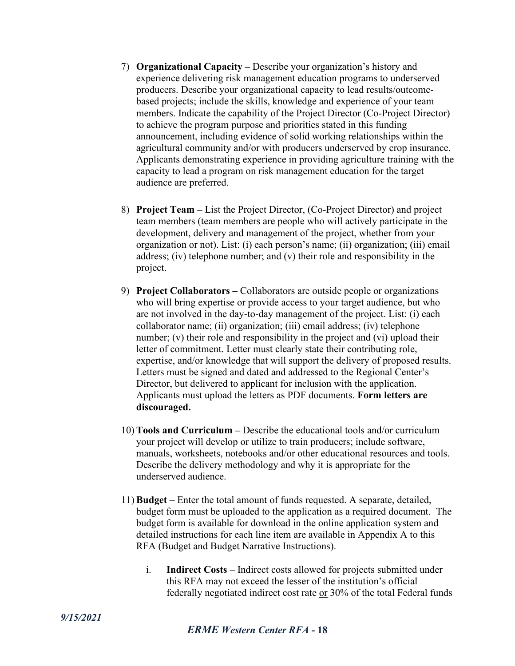- 7) **Organizational Capacity –** Describe your organization's history and experience delivering risk management education programs to underserved producers. Describe your organizational capacity to lead results/outcomebased projects; include the skills, knowledge and experience of your team members. Indicate the capability of the Project Director (Co-Project Director) to achieve the program purpose and priorities stated in this funding announcement, including evidence of solid working relationships within the agricultural community and/or with producers underserved by crop insurance. Applicants demonstrating experience in providing agriculture training with the capacity to lead a program on risk management education for the target audience are preferred.
- 8) **Project Team –** List the Project Director, (Co-Project Director) and project team members (team members are people who will actively participate in the development, delivery and management of the project, whether from your organization or not). List: (i) each person's name; (ii) organization; (iii) email address; (iv) telephone number; and (v) their role and responsibility in the project.
- 9) **Project Collaborators –** Collaborators are outside people or organizations who will bring expertise or provide access to your target audience, but who are not involved in the day-to-day management of the project. List: (i) each collaborator name; (ii) organization; (iii) email address; (iv) telephone number; (v) their role and responsibility in the project and (vi) upload their letter of commitment. Letter must clearly state their contributing role, expertise, and/or knowledge that will support the delivery of proposed results. Letters must be signed and dated and addressed to the Regional Center's Director, but delivered to applicant for inclusion with the application. Applicants must upload the letters as PDF documents. **Form letters are discouraged.**
- 10) **Tools and Curriculum –** Describe the educational tools and/or curriculum your project will develop or utilize to train producers; include software, manuals, worksheets, notebooks and/or other educational resources and tools. Describe the delivery methodology and why it is appropriate for the underserved audience.
- 11) **Budget** Enter the total amount of funds requested. A separate, detailed, budget form must be uploaded to the application as a required document. The budget form is available for download in the online application system and detailed instructions for each line item are available in Appendix A to this RFA (Budget and Budget Narrative Instructions).
	- i. **Indirect Costs** Indirect costs allowed for projects submitted under this RFA may not exceed the lesser of the institution's official federally negotiated indirect cost rate or 30% of the total Federal funds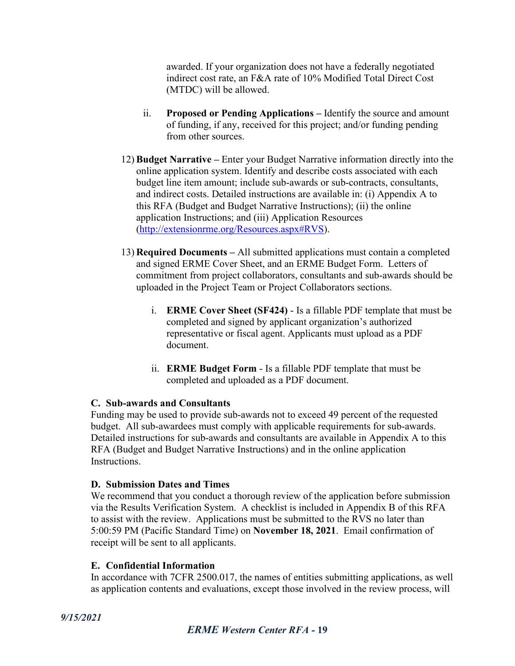awarded. If your organization does not have a federally negotiated indirect cost rate, an F&A rate of 10% Modified Total Direct Cost (MTDC) will be allowed.

- ii. **Proposed or Pending Applications –** Identify the source and amount of funding, if any, received for this project; and/or funding pending from other sources.
- 12) **Budget Narrative –** Enter your Budget Narrative information directly into the online application system. Identify and describe costs associated with each budget line item amount; include sub-awards or sub-contracts, consultants, and indirect costs. Detailed instructions are available in: (i) Appendix A to this RFA (Budget and Budget Narrative Instructions); (ii) the online application Instructions; and (iii) Application Resources [\(http://extensionrme.org/Resources.aspx#RVS\)](http://extensionrme.org/Resources.aspx#RVS).
- 13) **Required Documents –** All submitted applications must contain a completed and signed ERME Cover Sheet, and an ERME Budget Form. Letters of commitment from project collaborators, consultants and sub-awards should be uploaded in the Project Team or Project Collaborators sections.
	- i. **ERME Cover Sheet (SF424)** Is a fillable PDF template that must be completed and signed by applicant organization's authorized representative or fiscal agent. Applicants must upload as a PDF document.
	- ii. **ERME Budget Form** Is a fillable PDF template that must be completed and uploaded as a PDF document.

#### **C. Sub-awards and Consultants**

Funding may be used to provide sub-awards not to exceed 49 percent of the requested budget. All sub-awardees must comply with applicable requirements for sub-awards. Detailed instructions for sub-awards and consultants are available in Appendix A to this RFA (Budget and Budget Narrative Instructions) and in the online application Instructions.

#### **D. Submission Dates and Times**

We recommend that you conduct a thorough review of the application before submission via the Results Verification System. A checklist is included in Appendix B of this RFA to assist with the review. Applications must be submitted to the RVS no later than 5:00:59 PM (Pacific Standard Time) on **November 18, 2021**. Email confirmation of receipt will be sent to all applicants.

#### **E. Confidential Information**

In accordance with 7CFR 2500.017, the names of entities submitting applications, as well as application contents and evaluations, except those involved in the review process, will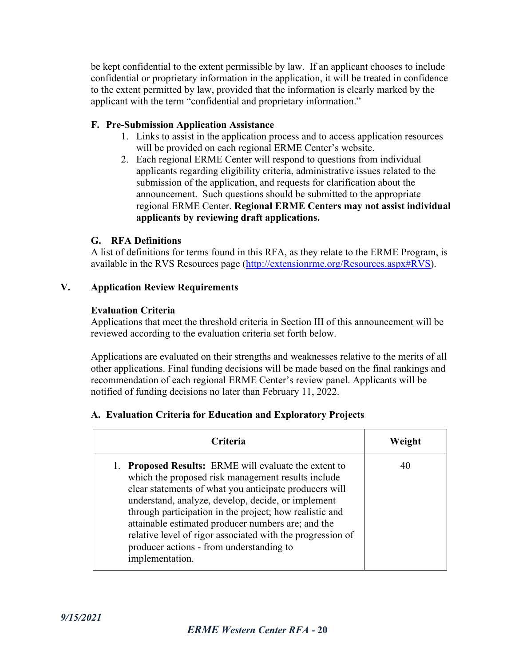be kept confidential to the extent permissible by law. If an applicant chooses to include confidential or proprietary information in the application, it will be treated in confidence to the extent permitted by law, provided that the information is clearly marked by the applicant with the term "confidential and proprietary information."

#### **F. Pre-Submission Application Assistance**

- 1. Links to assist in the application process and to access application resources will be provided on each regional ERME Center's website.
- 2. Each regional ERME Center will respond to questions from individual applicants regarding eligibility criteria, administrative issues related to the submission of the application, and requests for clarification about the announcement. Such questions should be submitted to the appropriate regional ERME Center. **Regional ERME Centers may not assist individual applicants by reviewing draft applications.**

#### **G. RFA Definitions**

A list of definitions for terms found in this RFA, as they relate to the ERME Program, is available in the RVS Resources page [\(http://extensionrme.org/Resources.aspx#RVS\)](http://extensionrme.org/Resources.aspx#RVS).

#### **V. Application Review Requirements**

#### **Evaluation Criteria**

Applications that meet the threshold criteria in Section III of this announcement will be reviewed according to the evaluation criteria set forth below.

Applications are evaluated on their strengths and weaknesses relative to the merits of all other applications. Final funding decisions will be made based on the final rankings and recommendation of each regional ERME Center's review panel. Applicants will be notified of funding decisions no later than February 11, 2022.

#### **A. Evaluation Criteria for Education and Exploratory Projects**

| <b>Criteria</b>                                                                                                                                                                                                                                                                                                                                                                                                                                                                     | Weight |
|-------------------------------------------------------------------------------------------------------------------------------------------------------------------------------------------------------------------------------------------------------------------------------------------------------------------------------------------------------------------------------------------------------------------------------------------------------------------------------------|--------|
| <b>Proposed Results:</b> ERME will evaluate the extent to<br>1.<br>which the proposed risk management results include<br>clear statements of what you anticipate producers will<br>understand, analyze, develop, decide, or implement<br>through participation in the project; how realistic and<br>attainable estimated producer numbers are; and the<br>relative level of rigor associated with the progression of<br>producer actions - from understanding to<br>implementation. | 40     |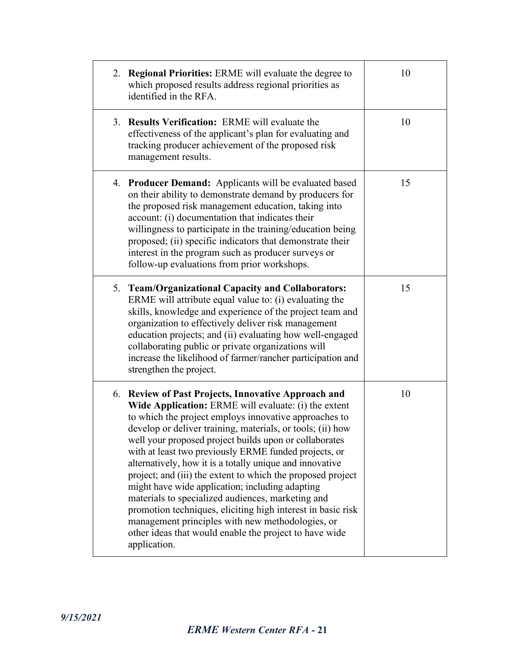| 2. Regional Priorities: ERME will evaluate the degree to<br>which proposed results address regional priorities as<br>identified in the RFA.                                                                                                                                                                                                                                                                                                                                                                                                                                                                                                                                                                                                                                           | 10 |
|---------------------------------------------------------------------------------------------------------------------------------------------------------------------------------------------------------------------------------------------------------------------------------------------------------------------------------------------------------------------------------------------------------------------------------------------------------------------------------------------------------------------------------------------------------------------------------------------------------------------------------------------------------------------------------------------------------------------------------------------------------------------------------------|----|
| 3. Results Verification: ERME will evaluate the<br>effectiveness of the applicant's plan for evaluating and<br>tracking producer achievement of the proposed risk<br>management results.                                                                                                                                                                                                                                                                                                                                                                                                                                                                                                                                                                                              | 10 |
| 4. Producer Demand: Applicants will be evaluated based<br>on their ability to demonstrate demand by producers for<br>the proposed risk management education, taking into<br>account: (i) documentation that indicates their<br>willingness to participate in the training/education being<br>proposed; (ii) specific indicators that demonstrate their<br>interest in the program such as producer surveys or<br>follow-up evaluations from prior workshops.                                                                                                                                                                                                                                                                                                                          | 15 |
| 5. Team/Organizational Capacity and Collaborators:<br>ERME will attribute equal value to: (i) evaluating the<br>skills, knowledge and experience of the project team and<br>organization to effectively deliver risk management<br>education projects; and (ii) evaluating how well-engaged<br>collaborating public or private organizations will<br>increase the likelihood of farmer/rancher participation and<br>strengthen the project.                                                                                                                                                                                                                                                                                                                                           | 15 |
| 6. Review of Past Projects, Innovative Approach and<br>Wide Application: ERME will evaluate: (i) the extent<br>to which the project employs innovative approaches to<br>develop or deliver training, materials, or tools; (ii) how<br>well your proposed project builds upon or collaborates<br>with at least two previously ERME funded projects, or<br>alternatively, how it is a totally unique and innovative<br>project; and (iii) the extent to which the proposed project<br>might have wide application; including adapting<br>materials to specialized audiences, marketing and<br>promotion techniques, eliciting high interest in basic risk<br>management principles with new methodologies, or<br>other ideas that would enable the project to have wide<br>application. | 10 |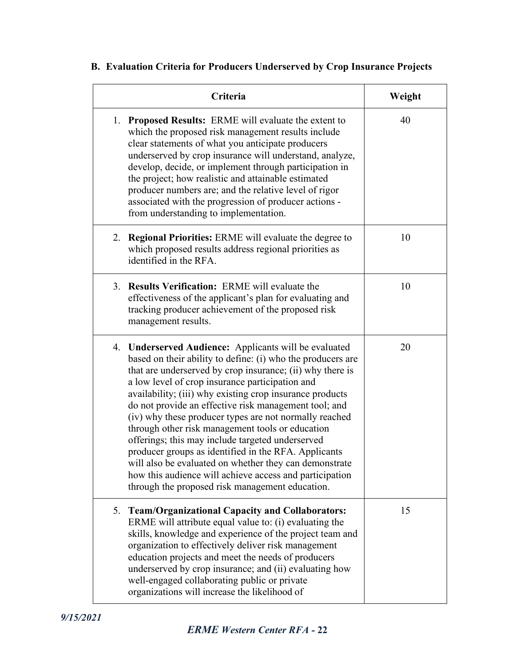#### **Criteria Weight** 1. **Proposed Results:** ERME will evaluate the extent to which the proposed risk management results include clear statements of what you anticipate producers underserved by crop insurance will understand, analyze, develop, decide, or implement through participation in the project; how realistic and attainable estimated producer numbers are; and the relative level of rigor associated with the progression of producer actions from understanding to implementation. 40 2. **Regional Priorities:** ERME will evaluate the degree to which proposed results address regional priorities as identified in the RFA. 10 3. **Results Verification:** ERME will evaluate the effectiveness of the applicant's plan for evaluating and tracking producer achievement of the proposed risk management results. 10 4. **Underserved Audience:** Applicants will be evaluated based on their ability to define: (i) who the producers are that are underserved by crop insurance; (ii) why there is a low level of crop insurance participation and availability; (iii) why existing crop insurance products do not provide an effective risk management tool; and (iv) why these producer types are not normally reached through other risk management tools or education offerings; this may include targeted underserved producer groups as identified in the RFA. Applicants will also be evaluated on whether they can demonstrate 20

#### **B. Evaluation Criteria for Producers Underserved by Crop Insurance Projects**

| through the proposed risk management education.                                                                                                                                                                                                                                                                                                                                                                                                  |    |
|--------------------------------------------------------------------------------------------------------------------------------------------------------------------------------------------------------------------------------------------------------------------------------------------------------------------------------------------------------------------------------------------------------------------------------------------------|----|
| 5. Team/Organizational Capacity and Collaborators:<br>ERME will attribute equal value to: (i) evaluating the<br>skills, knowledge and experience of the project team and<br>organization to effectively deliver risk management<br>education projects and meet the needs of producers<br>underserved by crop insurance; and (ii) evaluating how<br>well-engaged collaborating public or private<br>organizations will increase the likelihood of | 15 |

how this audience will achieve access and participation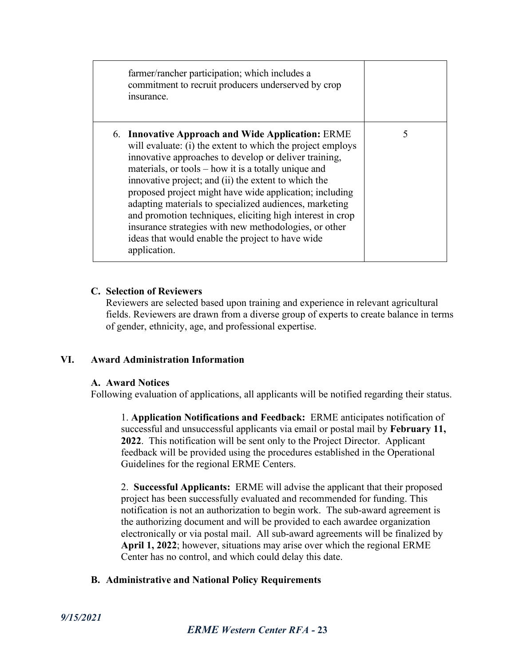| farmer/rancher participation; which includes a<br>commitment to recruit producers underserved by crop<br>insurance.                                                                                                                                                                                                                                                                                                                                                                                                                                                                                     |   |
|---------------------------------------------------------------------------------------------------------------------------------------------------------------------------------------------------------------------------------------------------------------------------------------------------------------------------------------------------------------------------------------------------------------------------------------------------------------------------------------------------------------------------------------------------------------------------------------------------------|---|
| 6. Innovative Approach and Wide Application: ERME<br>will evaluate: (i) the extent to which the project employs<br>innovative approaches to develop or deliver training,<br>materials, or tools – how it is a totally unique and<br>innovative project; and (ii) the extent to which the<br>proposed project might have wide application; including<br>adapting materials to specialized audiences, marketing<br>and promotion techniques, eliciting high interest in crop<br>insurance strategies with new methodologies, or other<br>ideas that would enable the project to have wide<br>application. | 5 |

#### **C. Selection of Reviewers**

Reviewers are selected based upon training and experience in relevant agricultural fields. Reviewers are drawn from a diverse group of experts to create balance in terms of gender, ethnicity, age, and professional expertise.

#### **VI. Award Administration Information**

#### **A. Award Notices**

Following evaluation of applications, all applicants will be notified regarding their status.

1. **Application Notifications and Feedback:** ERME anticipates notification of successful and unsuccessful applicants via email or postal mail by **February 11, 2022**. This notification will be sent only to the Project Director. Applicant feedback will be provided using the procedures established in the Operational Guidelines for the regional ERME Centers.

2. **Successful Applicants:** ERME will advise the applicant that their proposed project has been successfully evaluated and recommended for funding. This notification is not an authorization to begin work. The sub-award agreement is the authorizing document and will be provided to each awardee organization electronically or via postal mail. All sub-award agreements will be finalized by **April 1, 2022**; however, situations may arise over which the regional ERME Center has no control, and which could delay this date.

#### **B. Administrative and National Policy Requirements**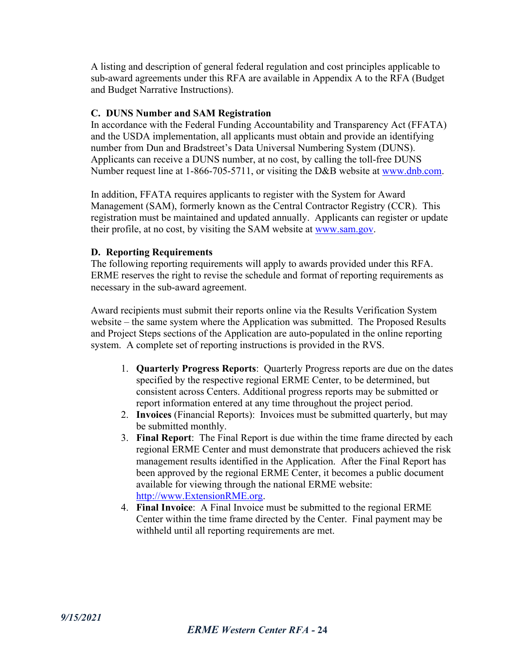A listing and description of general federal regulation and cost principles applicable to sub-award agreements under this RFA are available in Appendix A to the RFA (Budget and Budget Narrative Instructions).

#### **C. DUNS Number and SAM Registration**

In accordance with the Federal Funding Accountability and Transparency Act (FFATA) and the USDA implementation, all applicants must obtain and provide an identifying number from Dun and Bradstreet's Data Universal Numbering System (DUNS). Applicants can receive a DUNS number, at no cost, by calling the toll-free DUNS Number request line at 1-866-705-5711, or visiting the D&B website at [www.dnb.com.](http://www.dnb.com/)

In addition, FFATA requires applicants to register with the System for Award Management (SAM), formerly known as the Central Contractor Registry (CCR). This registration must be maintained and updated annually. Applicants can register or update their profile, at no cost, by visiting the SAM website at [www.sam.gov.](http://www.sam.gov/)

#### **D. Reporting Requirements**

The following reporting requirements will apply to awards provided under this RFA. ERME reserves the right to revise the schedule and format of reporting requirements as necessary in the sub-award agreement.

Award recipients must submit their reports online via the Results Verification System website – the same system where the Application was submitted. The Proposed Results and Project Steps sections of the Application are auto-populated in the online reporting system. A complete set of reporting instructions is provided in the RVS.

- 1. **Quarterly Progress Reports**: Quarterly Progress reports are due on the dates specified by the respective regional ERME Center, to be determined, but consistent across Centers. Additional progress reports may be submitted or report information entered at any time throughout the project period.
- 2. **Invoices** (Financial Reports): Invoices must be submitted quarterly, but may be submitted monthly.
- 3. **Final Report**: The Final Report is due within the time frame directed by each regional ERME Center and must demonstrate that producers achieved the risk management results identified in the Application. After the Final Report has been approved by the regional ERME Center, it becomes a public document available for viewing through the national ERME website: [http://www.ExtensionRME.org.](http://www.extensionrme.org/)
- 4. **Final Invoice**: A Final Invoice must be submitted to the regional ERME Center within the time frame directed by the Center. Final payment may be withheld until all reporting requirements are met.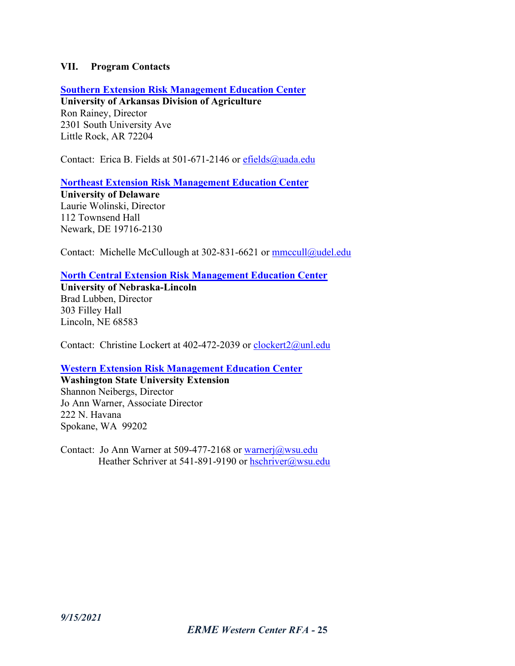#### **VII. Program Contacts**

**[Southern Extension Risk Management Education Center](https://srmec.uaex.edu/)**

**University of Arkansas Division of Agriculture** Ron Rainey, Director 2301 South University Ave Little Rock, AR 72204

Contact: Erica B. Fields at 501-671-2146 or [efields@uada.edu](mailto:efields@uada.edu)

**Northeast Extension [Risk Management Education](http://www.nerme.org/) Center**

**University of Delaware** Laurie Wolinski, Director 112 Townsend Hall Newark, DE 19716-2130

Contact: Michelle McCullough at 302-831-6621 or [mmccull@udel.edu](mailto:mmccull@udel.edu)

**[North Central Extension Risk Management Education Center](http://www.ncerme.org/)**

**University of Nebraska-Lincoln** Brad Lubben, Director 303 Filley Hall Lincoln, NE 68583

Contact: Christine Lockert at 402-472-2039 or [clockert2@unl.edu](mailto:clockert2@unl.edu)

#### **Western Extension [Risk Management Education](https://westrme.wsu.edu/) Center**

**Washington State University Extension** Shannon Neibergs, Director Jo Ann Warner, Associate Director 222 N. Havana Spokane, WA 99202

Contact: Jo Ann Warner at 509-477-2168 or [warnerj@wsu.edu](mailto:warnerj@wsu.edu) Heather Schriver at 541-891-9190 or [hschriver@wsu.edu](mailto:hschriver@wsu.edu)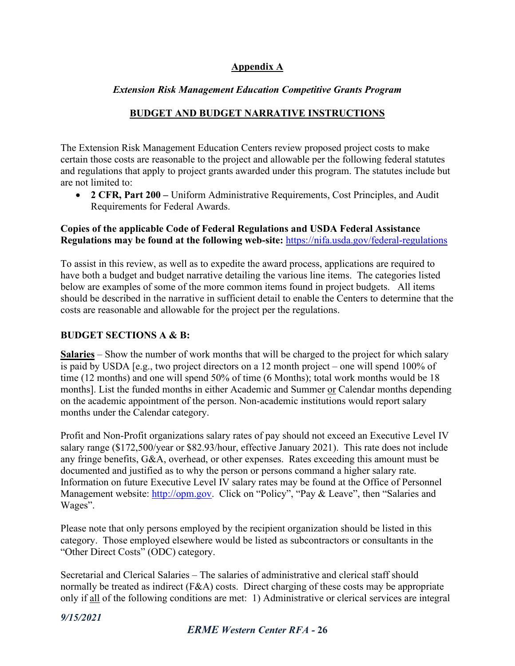#### **Appendix A**

#### *Extension Risk Management Education Competitive Grants Program*

#### **BUDGET AND BUDGET NARRATIVE INSTRUCTIONS**

The Extension Risk Management Education Centers review proposed project costs to make certain those costs are reasonable to the project and allowable per the following federal statutes and regulations that apply to project grants awarded under this program. The statutes include but are not limited to:

• **2 CFR, Part 200 –** Uniform Administrative Requirements, Cost Principles, and Audit Requirements for Federal Awards.

#### **Copies of the applicable Code of Federal Regulations and USDA Federal Assistance Regulations may be found at the following web-site:** <https://nifa.usda.gov/federal-regulations>

To assist in this review, as well as to expedite the award process, applications are required to have both a budget and budget narrative detailing the various line items. The categories listed below are examples of some of the more common items found in project budgets. All items should be described in the narrative in sufficient detail to enable the Centers to determine that the costs are reasonable and allowable for the project per the regulations.

#### **BUDGET SECTIONS A & B:**

**Salaries** – Show the number of work months that will be charged to the project for which salary is paid by USDA [e.g., two project directors on a 12 month project – one will spend 100% of time (12 months) and one will spend 50% of time (6 Months); total work months would be 18 months]. List the funded months in either Academic and Summer or Calendar months depending on the academic appointment of the person. Non-academic institutions would report salary months under the Calendar category.

 Profit and Non-Profit organizations salary rates of pay should not exceed an Executive Level IV salary range (\$172,500/year or \$82.93/hour, effective January 2021). This rate does not include any fringe benefits, G&A, overhead, or other expenses. Rates exceeding this amount must be documented and justified as to why the person or persons command a higher salary rate. Information on future Executive Level IV salary rates may be found at the Office of Personnel Management website: [http://opm.gov.](http://opm.gov/) Click on "Policy", "Pay & Leave", then "Salaries and Wages".

 Please note that only persons employed by the recipient organization should be listed in this category. Those employed elsewhere would be listed as subcontractors or consultants in the "Other Direct Costs" (ODC) category.

Secretarial and Clerical Salaries – The salaries of administrative and clerical staff should normally be treated as indirect (F&A) costs. Direct charging of these costs may be appropriate only if all of the following conditions are met: 1) Administrative or clerical services are integral

*9/15/2021*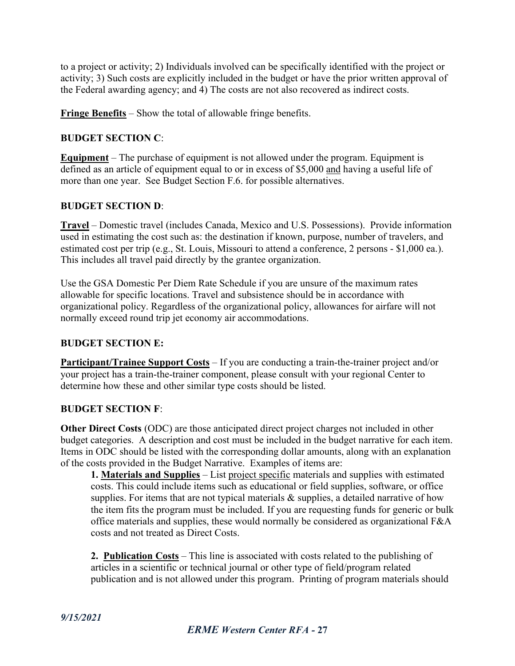to a project or activity; 2) Individuals involved can be specifically identified with the project or activity; 3) Such costs are explicitly included in the budget or have the prior written approval of the Federal awarding agency; and 4) The costs are not also recovered as indirect costs.

**Fringe Benefits** – Show the total of allowable fringe benefits.

#### **BUDGET SECTION C**:

**Equipment** – The purchase of equipment is not allowed under the program. Equipment is defined as an article of equipment equal to or in excess of \$5,000 and having a useful life of more than one year. See Budget Section F.6. for possible alternatives.

#### **BUDGET SECTION D**:

**Travel** – Domestic travel (includes Canada, Mexico and U.S. Possessions). Provide information used in estimating the cost such as: the destination if known, purpose, number of travelers, and estimated cost per trip (e.g., St. Louis, Missouri to attend a conference, 2 persons - \$1,000 ea.). This includes all travel paid directly by the grantee organization.

Use the GSA Domestic Per Diem Rate Schedule if you are unsure of the maximum rates allowable for specific locations. Travel and subsistence should be in accordance with organizational policy. Regardless of the organizational policy, allowances for airfare will not normally exceed round trip jet economy air accommodations.

#### **BUDGET SECTION E:**

**Participant/Trainee Support Costs** – If you are conducting a train-the-trainer project and/or your project has a train-the-trainer component, please consult with your regional Center to determine how these and other similar type costs should be listed.

### **BUDGET SECTION F**:

**Other Direct Costs** (ODC) are those anticipated direct project charges not included in other budget categories. A description and cost must be included in the budget narrative for each item. Items in ODC should be listed with the corresponding dollar amounts, along with an explanation of the costs provided in the Budget Narrative. Examples of items are:

**1. Materials and Supplies** – List project specific materials and supplies with estimated costs. This could include items such as educational or field supplies, software, or office supplies. For items that are not typical materials  $\&$  supplies, a detailed narrative of how the item fits the program must be included. If you are requesting funds for generic or bulk office materials and supplies, these would normally be considered as organizational F&A costs and not treated as Direct Costs.

**2. Publication Costs** – This line is associated with costs related to the publishing of articles in a scientific or technical journal or other type of field/program related publication and is not allowed under this program. Printing of program materials should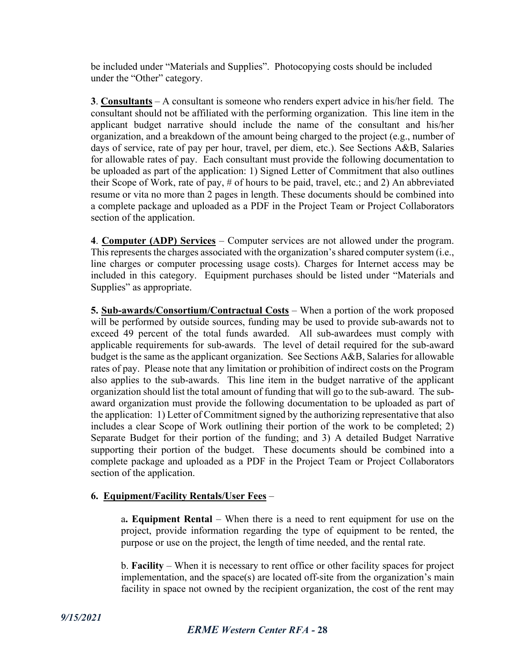be included under "Materials and Supplies". Photocopying costs should be included under the "Other" category.

**3**. **Consultants** – A consultant is someone who renders expert advice in his/her field. The consultant should not be affiliated with the performing organization. This line item in the applicant budget narrative should include the name of the consultant and his/her organization, and a breakdown of the amount being charged to the project (e.g., number of days of service, rate of pay per hour, travel, per diem, etc.). See Sections A&B, Salaries for allowable rates of pay. Each consultant must provide the following documentation to be uploaded as part of the application: 1) Signed Letter of Commitment that also outlines their Scope of Work, rate of pay, # of hours to be paid, travel, etc.; and 2) An abbreviated resume or vita no more than 2 pages in length. These documents should be combined into a complete package and uploaded as a PDF in the Project Team or Project Collaborators section of the application.

**4**. **Computer (ADP) Services** – Computer services are not allowed under the program. This represents the charges associated with the organization's shared computer system (i.e., line charges or computer processing usage costs). Charges for Internet access may be included in this category. Equipment purchases should be listed under "Materials and Supplies" as appropriate.

**5. Sub-awards/Consortium/Contractual Costs** – When a portion of the work proposed will be performed by outside sources, funding may be used to provide sub-awards not to exceed 49 percent of the total funds awarded. All sub-awardees must comply with applicable requirements for sub-awards. The level of detail required for the sub-award budget is the same as the applicant organization. See Sections A&B, Salaries for allowable rates of pay. Please note that any limitation or prohibition of indirect costs on the Program also applies to the sub-awards. This line item in the budget narrative of the applicant organization should list the total amount of funding that will go to the sub-award. The subaward organization must provide the following documentation to be uploaded as part of the application: 1) Letter of Commitment signed by the authorizing representative that also includes a clear Scope of Work outlining their portion of the work to be completed; 2) Separate Budget for their portion of the funding; and 3) A detailed Budget Narrative supporting their portion of the budget. These documents should be combined into a complete package and uploaded as a PDF in the Project Team or Project Collaborators section of the application.

#### **6. Equipment/Facility Rentals/User Fees** –

a**. Equipment Rental** – When there is a need to rent equipment for use on the project, provide information regarding the type of equipment to be rented, the purpose or use on the project, the length of time needed, and the rental rate.

b. **Facility** – When it is necessary to rent office or other facility spaces for project implementation, and the space(s) are located of f-site from the organization's main facility in space not owned by the recipient organization, the cost of the rent may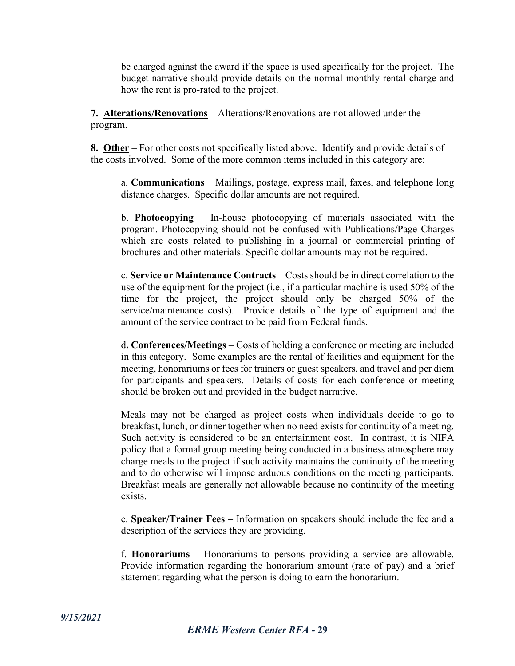be charged against the award if the space is used specifically for the project. The budget narrative should provide details on the normal monthly rental charge and how the rent is pro-rated to the project.

**7. Alterations/Renovations** – Alterations/Renovations are not allowed under the program.

**8. Other** – For other costs not specifically listed above. Identify and provide details of the costs involved. Some of the more common items included in this category are:

a. **Communications** – Mailings, postage, express mail, faxes, and telephone long distance charges. Specific dollar amounts are not required.

b. **Photocopying** – In-house photocopying of materials associated with the program. Photocopying should not be confused with Publications/Page Charges which are costs related to publishing in a journal or commercial printing of brochures and other materials. Specific dollar amounts may not be required.

c. **Service or Maintenance Contracts** – Costs should be in direct correlation to the use of the equipment for the project (i.e., if a particular machine is used 50% of the time for the project, the project should only be charged 50% of the service/maintenance costs). Provide details of the type of equipment and the amount of the service contract to be paid from Federal funds.

d**. Conferences/Meetings** – Costs of holding a conference or meeting are included in this category. Some examples are the rental of facilities and equipment for the meeting, honorariums or fees for trainers or guest speakers, and travel and per diem for participants and speakers. Details of costs for each conference or meeting should be broken out and provided in the budget narrative.

Meals may not be charged as project costs when individuals decide to go to breakfast, lunch, or dinner together when no need exists for continuity of a meeting. Such activity is considered to be an entertainment cost. In contrast, it is NIFA policy that a formal group meeting being conducted in a business atmosphere may charge meals to the project if such activity maintains the continuity of the meeting and to do otherwise will impose arduous conditions on the meeting participants. Breakfast meals are generally not allowable because no continuity of the meeting exists.

e. **Speaker/Trainer Fees –** Information on speakers should include the fee and a description of the services they are providing.

f. **Honorariums** – Honorariums to persons providing a service are allowable. Provide information regarding the honorarium amount (rate of pay) and a brief statement regarding what the person is doing to earn the honorarium.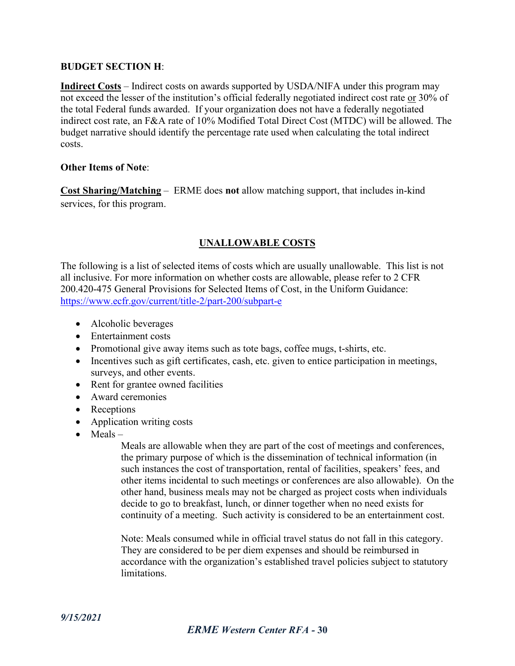#### **BUDGET SECTION H**:

**Indirect Costs** – Indirect costs on awards supported by USDA/NIFA under this program may not exceed the lesser of the institution's official federally negotiated indirect cost rate or 30% of the total Federal funds awarded. If your organization does not have a federally negotiated indirect cost rate, an F&A rate of 10% Modified Total Direct Cost (MTDC) will be allowed. The budget narrative should identify the percentage rate used when calculating the total indirect costs.

#### **Other Items of Note**:

**Cost Sharing/Matching** – ERME does **not** allow matching support, that includes in-kind services, for this program.

#### **UNALLOWABLE COSTS**

The following is a list of selected items of costs which are usually unallowable. This list is not all inclusive. For more information on whether costs are allowable, please refer to 2 CFR 200.420-475 General Provisions for Selected Items of Cost, in the Uniform Guidance: [https://www.ecfr.gov/current/title-2/part-200/subpart-e](https://urldefense.com/v3/__https:/www.ecfr.gov/current/title-2/part-200/subpart-e__;!!JmPEgBY0HMszNaDT!_3KyZcoukSH2LNzp8tasC4Ri1w75IOsaoJusBphXWnWZU-pH9DSaQ9PxxRNo4AUl$)

- Alcoholic beverages
- Entertainment costs
- Promotional give away items such as tote bags, coffee mugs, t-shirts, etc.
- Incentives such as gift certificates, cash, etc. given to entice participation in meetings, surveys, and other events.
- Rent for grantee owned facilities
- Award ceremonies
- Receptions
- Application writing costs
- Meals –

Meals are allowable when they are part of the cost of meetings and conferences, the primary purpose of which is the dissemination of technical information (in such instances the cost of transportation, rental of facilities, speakers' fees, and other items incidental to such meetings or conferences are also allowable). On the other hand, business meals may not be charged as project costs when individuals decide to go to breakfast, lunch, or dinner together when no need exists for continuity of a meeting. Such activity is considered to be an entertainment cost.

Note: Meals consumed while in official travel status do not fall in this category. They are considered to be per diem expenses and should be reimbursed in accordance with the organization's established travel policies subject to statutory limitations.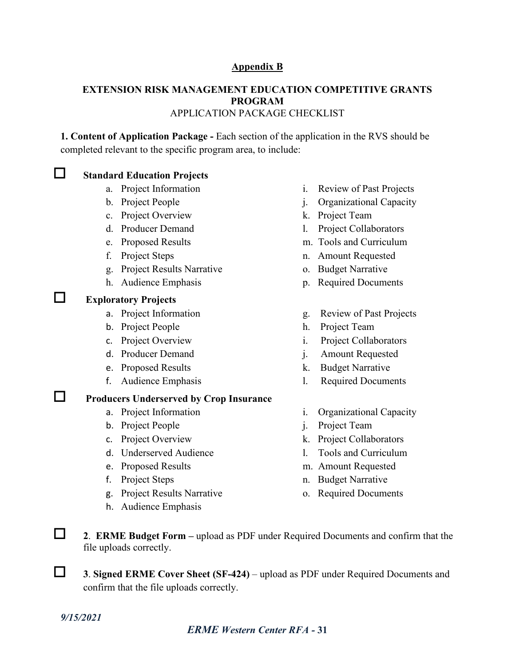#### **Appendix B**

#### **EXTENSION RISK MANAGEMENT EDUCATION COMPETITIVE GRANTS PROGRAM** APPLICATION PACKAGE CHECKLIST

**1. Content of Application Package -** Each section of the application in the RVS should be completed relevant to the specific program area, to include:

#### **Standard Education Projects**

- 
- 
- c. Project Overview k. Project Team
- 
- 
- 
- g. Project Results Narrative o. Budget Narrative
- 
- **Exploratory Projects**
	-
	- b. Project People h. Project Team
	-
	-
	-
	-

# **Producers Underserved by Crop Insurance**

- 
- b. Project People i. Project Team
- 
- d. Underserved Audience 1. Tools and Curriculum
- 
- 
- g. Project Results Narrative o. Required Documents
- h. Audience Emphasis
- a. Project Information i. Review of Past Projects
- b. Project People in the set of project People in the project  $\alpha$  is  $\alpha$  Organizational Capacity
	-
- d. Producer Demand 1. Project Collaborators
- e. Proposed Results m. Tools and Curriculum
- f. Project Steps n. Amount Requested
	-
- h. Audience Emphasis p. Required Documents
- a. Project Information g. Review of Past Projects
	-
- c. Project Overview i. Project Collaborators
- d. Producer Demand i. Amount Requested
- e. Proposed Results k. Budget Narrative
- f. Audience Emphasis l. Required Documents
- a. Project Information i. Organizational Capacity
	-
- c. Project Overview k. Project Collaborators
	-
- e. Proposed Results m. Amount Requested
- f. Project Steps n. Budget Narrative
	-

 **<sup>2</sup>**. **ERME Budget Form –** upload as PDF under Required Documents and confirm that the file uploads correctly.

 **<sup>3</sup>**. **Signed ERME Cover Sheet (SF-424)** – upload as PDF under Required Documents and confirm that the file uploads correctly.